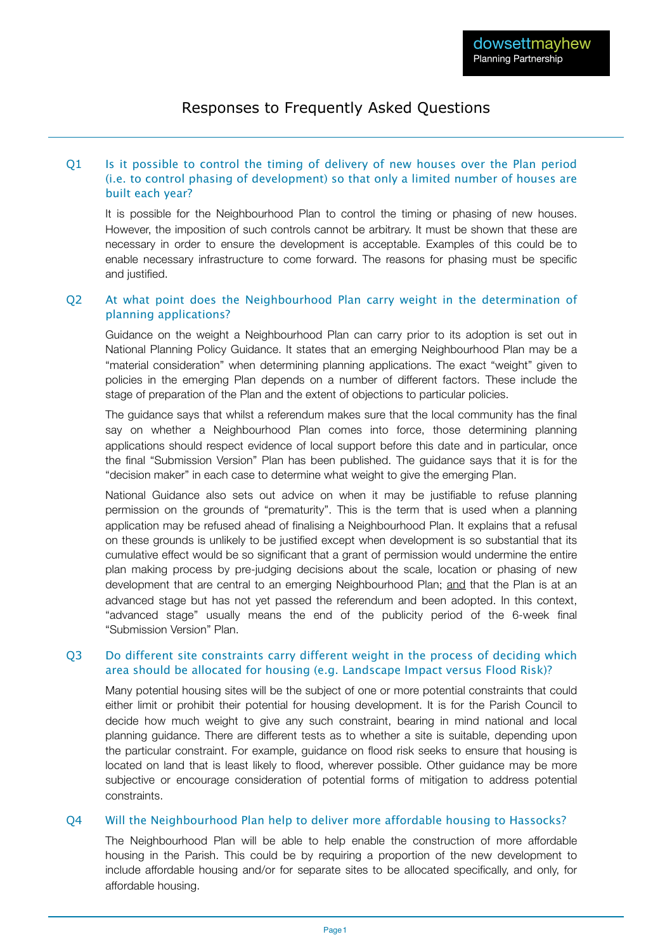# Responses to Frequently Asked Questions

## Q1 Is it possible to control the timing of delivery of new houses over the Plan period (i.e. to control phasing of development) so that only a limited number of houses are built each year?

It is possible for the Neighbourhood Plan to control the timing or phasing of new houses. However, the imposition of such controls cannot be arbitrary. It must be shown that these are necessary in order to ensure the development is acceptable. Examples of this could be to enable necessary infrastructure to come forward. The reasons for phasing must be specific and justified.

### Q2 At what point does the Neighbourhood Plan carry weight in the determination of planning applications?

Guidance on the weight a Neighbourhood Plan can carry prior to its adoption is set out in National Planning Policy Guidance. It states that an emerging Neighbourhood Plan may be a "material consideration" when determining planning applications. The exact "weight" given to policies in the emerging Plan depends on a number of different factors. These include the stage of preparation of the Plan and the extent of objections to particular policies.

The guidance says that whilst a referendum makes sure that the local community has the final say on whether a Neighbourhood Plan comes into force, those determining planning applications should respect evidence of local support before this date and in particular, once the final "Submission Version" Plan has been published. The guidance says that it is for the "decision maker" in each case to determine what weight to give the emerging Plan.

National Guidance also sets out advice on when it may be justifiable to refuse planning permission on the grounds of "prematurity". This is the term that is used when a planning application may be refused ahead of finalising a Neighbourhood Plan. It explains that a refusal on these grounds is unlikely to be justified except when development is so substantial that its cumulative effect would be so significant that a grant of permission would undermine the entire plan making process by pre-judging decisions about the scale, location or phasing of new development that are central to an emerging Neighbourhood Plan; and that the Plan is at an advanced stage but has not yet passed the referendum and been adopted. In this context, "advanced stage" usually means the end of the publicity period of the 6-week final "Submission Version" Plan.

#### Q3 Do different site constraints carry different weight in the process of deciding which area should be allocated for housing (e.g. Landscape Impact versus Flood Risk)?

Many potential housing sites will be the subject of one or more potential constraints that could either limit or prohibit their potential for housing development. It is for the Parish Council to decide how much weight to give any such constraint, bearing in mind national and local planning guidance. There are different tests as to whether a site is suitable, depending upon the particular constraint. For example, guidance on flood risk seeks to ensure that housing is located on land that is least likely to flood, wherever possible. Other guidance may be more subjective or encourage consideration of potential forms of mitigation to address potential constraints.

#### Q4 Will the Neighbourhood Plan help to deliver more affordable housing to Hassocks?

The Neighbourhood Plan will be able to help enable the construction of more affordable housing in the Parish. This could be by requiring a proportion of the new development to include affordable housing and/or for separate sites to be allocated specifically, and only, for affordable housing.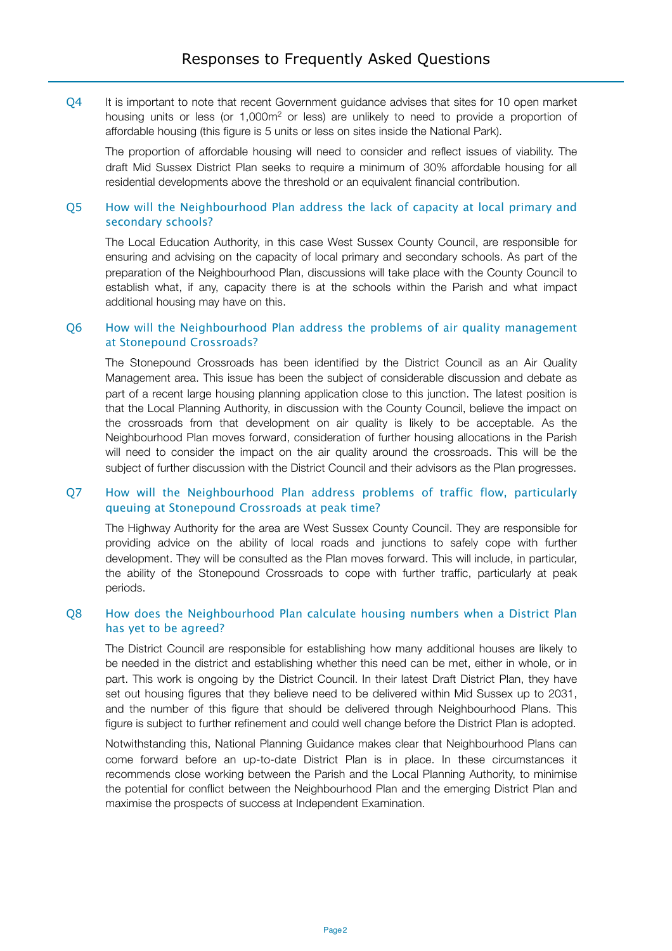Q4 It is important to note that recent Government guidance advises that sites for 10 open market housing units or less (or 1,000m<sup>2</sup> or less) are unlikely to need to provide a proportion of affordable housing (this figure is 5 units or less on sites inside the National Park).

The proportion of affordable housing will need to consider and reflect issues of viability. The draft Mid Sussex District Plan seeks to require a minimum of 30% affordable housing for all residential developments above the threshold or an equivalent financial contribution.

## Q5 How will the Neighbourhood Plan address the lack of capacity at local primary and secondary schools?

The Local Education Authority, in this case West Sussex County Council, are responsible for ensuring and advising on the capacity of local primary and secondary schools. As part of the preparation of the Neighbourhood Plan, discussions will take place with the County Council to establish what, if any, capacity there is at the schools within the Parish and what impact additional housing may have on this.

#### Q6 How will the Neighbourhood Plan address the problems of air quality management at Stonepound Crossroads?

The Stonepound Crossroads has been identified by the District Council as an Air Quality Management area. This issue has been the subject of considerable discussion and debate as part of a recent large housing planning application close to this junction. The latest position is that the Local Planning Authority, in discussion with the County Council, believe the impact on the crossroads from that development on air quality is likely to be acceptable. As the Neighbourhood Plan moves forward, consideration of further housing allocations in the Parish will need to consider the impact on the air quality around the crossroads. This will be the subject of further discussion with the District Council and their advisors as the Plan progresses.

#### Q7 How will the Neighbourhood Plan address problems of traffic flow, particularly queuing at Stonepound Crossroads at peak time?

The Highway Authority for the area are West Sussex County Council. They are responsible for providing advice on the ability of local roads and junctions to safely cope with further development. They will be consulted as the Plan moves forward. This will include, in particular, the ability of the Stonepound Crossroads to cope with further traffic, particularly at peak periods.

#### Q8 How does the Neighbourhood Plan calculate housing numbers when a District Plan has yet to be agreed?

The District Council are responsible for establishing how many additional houses are likely to be needed in the district and establishing whether this need can be met, either in whole, or in part. This work is ongoing by the District Council. In their latest Draft District Plan, they have set out housing figures that they believe need to be delivered within Mid Sussex up to 2031, and the number of this figure that should be delivered through Neighbourhood Plans. This figure is subject to further refinement and could well change before the District Plan is adopted.

Notwithstanding this, National Planning Guidance makes clear that Neighbourhood Plans can come forward before an up-to-date District Plan is in place. In these circumstances it recommends close working between the Parish and the Local Planning Authority, to minimise the potential for conflict between the Neighbourhood Plan and the emerging District Plan and maximise the prospects of success at Independent Examination.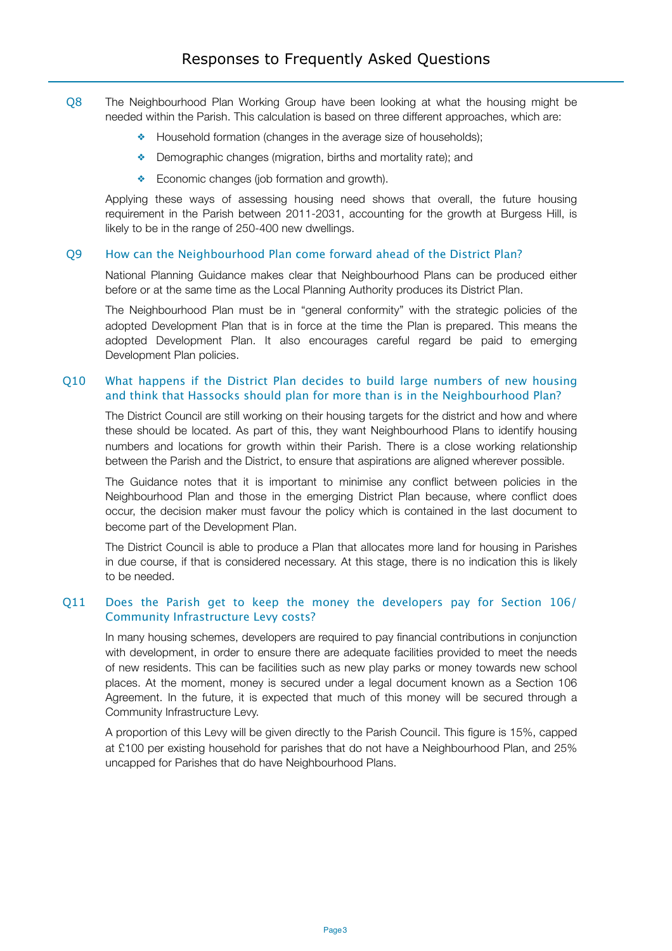- Q8 The Neighbourhood Plan Working Group have been looking at what the housing might be needed within the Parish. This calculation is based on three different approaches, which are:
	- ❖ Household formation (changes in the average size of households);
	- ❖ Demographic changes (migration, births and mortality rate); and
	- ❖ Economic changes (job formation and growth).

Applying these ways of assessing housing need shows that overall, the future housing requirement in the Parish between 2011-2031, accounting for the growth at Burgess Hill, is likely to be in the range of 250-400 new dwellings.

#### Q9 How can the Neighbourhood Plan come forward ahead of the District Plan?

National Planning Guidance makes clear that Neighbourhood Plans can be produced either before or at the same time as the Local Planning Authority produces its District Plan.

The Neighbourhood Plan must be in "general conformity" with the strategic policies of the adopted Development Plan that is in force at the time the Plan is prepared. This means the adopted Development Plan. It also encourages careful regard be paid to emerging Development Plan policies.

### Q10 What happens if the District Plan decides to build large numbers of new housing and think that Hassocks should plan for more than is in the Neighbourhood Plan?

The District Council are still working on their housing targets for the district and how and where these should be located. As part of this, they want Neighbourhood Plans to identify housing numbers and locations for growth within their Parish. There is a close working relationship between the Parish and the District, to ensure that aspirations are aligned wherever possible.

The Guidance notes that it is important to minimise any conflict between policies in the Neighbourhood Plan and those in the emerging District Plan because, where conflict does occur, the decision maker must favour the policy which is contained in the last document to become part of the Development Plan.

The District Council is able to produce a Plan that allocates more land for housing in Parishes in due course, if that is considered necessary. At this stage, there is no indication this is likely to be needed.

## Q11 Does the Parish get to keep the money the developers pay for Section 106/ Community Infrastructure Levy costs?

In many housing schemes, developers are required to pay financial contributions in conjunction with development, in order to ensure there are adequate facilities provided to meet the needs of new residents. This can be facilities such as new play parks or money towards new school places. At the moment, money is secured under a legal document known as a Section 106 Agreement. In the future, it is expected that much of this money will be secured through a Community Infrastructure Levy.

A proportion of this Levy will be given directly to the Parish Council. This figure is 15%, capped at £100 per existing household for parishes that do not have a Neighbourhood Plan, and 25% uncapped for Parishes that do have Neighbourhood Plans.